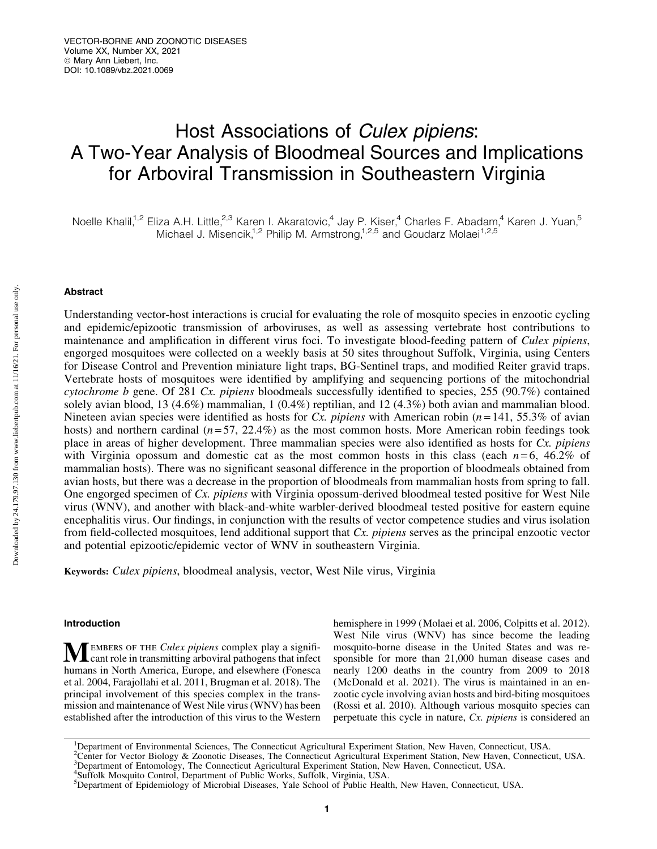# Host Associations of Culex pipiens: A Two-Year Analysis of Bloodmeal Sources and Implications for Arboviral Transmission in Southeastern Virginia

Noelle Khalil,<sup>1,2</sup> Eliza A.H. Little,<sup>2,3</sup> Karen I. Akaratovic,<sup>4</sup> Jay P. Kiser,<sup>4</sup> Charles F. Abadam,<sup>4</sup> Karen J. Yuan,<sup>5</sup> Michael J. Misencik,<sup>1,2</sup> Philip M. Armstrong,<sup>1,2,5</sup> and Goudarz Molaei<sup>1,2,5</sup>

# Abstract

Understanding vector-host interactions is crucial for evaluating the role of mosquito species in enzootic cycling and epidemic/epizootic transmission of arboviruses, as well as assessing vertebrate host contributions to maintenance and amplification in different virus foci. To investigate blood-feeding pattern of *Culex pipiens*, engorged mosquitoes were collected on a weekly basis at 50 sites throughout Suffolk, Virginia, using Centers for Disease Control and Prevention miniature light traps, BG-Sentinel traps, and modified Reiter gravid traps. Vertebrate hosts of mosquitoes were identified by amplifying and sequencing portions of the mitochondrial *cytochrome b* gene. Of 281 *Cx. pipiens* bloodmeals successfully identified to species, 255 (90.7%) contained solely avian blood, 13 (4.6%) mammalian, 1 (0.4%) reptilian, and 12 (4.3%) both avian and mammalian blood. Nineteen avian species were identified as hosts for *Cx. pipiens* with American robin (*n* = 141, 55.3% of avian hosts) and northern cardinal  $(n=57, 22.4\%)$  as the most common hosts. More American robin feedings took place in areas of higher development. Three mammalian species were also identified as hosts for *Cx. pipiens* with Virginia opossum and domestic cat as the most common hosts in this class (each  $n=6$ , 46.2% of mammalian hosts). There was no significant seasonal difference in the proportion of bloodmeals obtained from avian hosts, but there was a decrease in the proportion of bloodmeals from mammalian hosts from spring to fall. One engorged specimen of *Cx. pipiens* with Virginia opossum-derived bloodmeal tested positive for West Nile virus (WNV), and another with black-and-white warbler-derived bloodmeal tested positive for eastern equine encephalitis virus. Our findings, in conjunction with the results of vector competence studies and virus isolation from field-collected mosquitoes, lend additional support that *Cx. pipiens* serves as the principal enzootic vector and potential epizootic/epidemic vector of WNV in southeastern Virginia.

Keywords: *Culex pipiens*, bloodmeal analysis, vector, West Nile virus, Virginia

#### Introduction

MEMBERS OF THE *Culex pipiens* complex play a significant role in transmitting arboviral pathogens that infect humans in North America, Europe, and elsewhere (Fonesca et al. 2004, Farajollahi et al. 2011, Brugman et al. 2018). The principal involvement of this species complex in the transmission and maintenance of West Nile virus (WNV) has been established after the introduction of this virus to the Western hemisphere in 1999 (Molaei et al. 2006, Colpitts et al. 2012). West Nile virus (WNV) has since become the leading mosquito-borne disease in the United States and was responsible for more than 21,000 human disease cases and nearly 1200 deaths in the country from 2009 to 2018 (McDonald et al. 2021). The virus is maintained in an enzootic cycle involving avian hosts and bird-biting mosquitoes (Rossi et al. 2010). Although various mosquito species can perpetuate this cycle in nature, *Cx. pipiens* is considered an

2 Center for Vector Biology & Zoonotic Diseases, The Connecticut Agricultural Experiment Station, New Haven, Connecticut, USA.

Downloaded by 24.179.97.130 from www.liebertpub.com at 11/16/21. For personal use only. Downloaded by 24.179.97.130 from www.liebertpub.com at 11/16/21. For personal use only

<sup>&</sup>lt;sup>1</sup>Department of Environmental Sciences, The Connecticut Agricultural Experiment Station, New Haven, Connecticut, USA.

<sup>3</sup> Department of Entomology, The Connecticut Agricultural Experiment Station, New Haven, Connecticut, USA. 4 Suffolk Mosquito Control, Department of Public Works, Suffolk, Virginia, USA.

<sup>&</sup>lt;sup>5</sup>Department of Epidemiology of Microbial Diseases, Yale School of Public Health, New Haven, Connecticut, USA.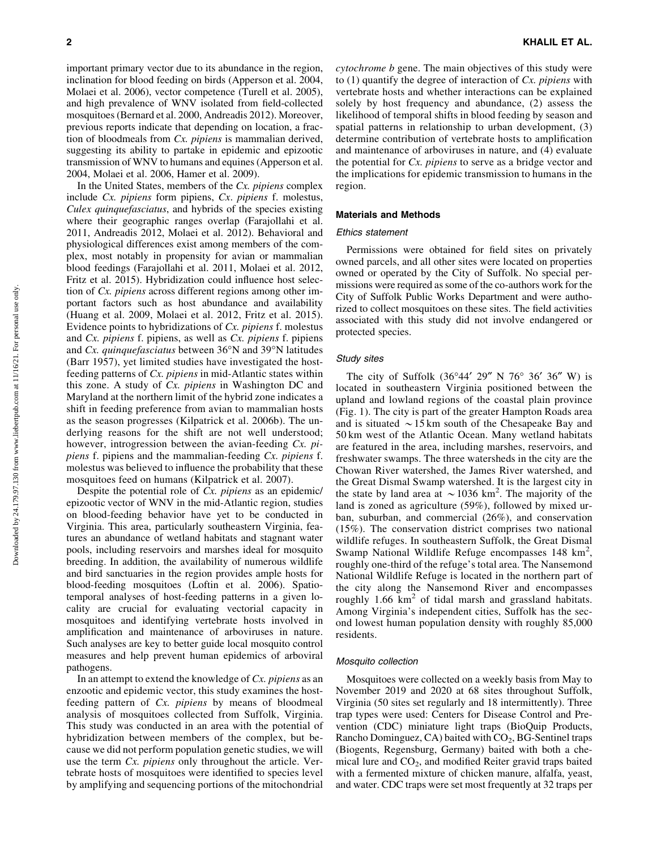important primary vector due to its abundance in the region, inclination for blood feeding on birds (Apperson et al. 2004, Molaei et al. 2006), vector competence (Turell et al. 2005), and high prevalence of WNV isolated from field-collected mosquitoes (Bernard et al. 2000, Andreadis 2012). Moreover, previous reports indicate that depending on location, a fraction of bloodmeals from *Cx. pipiens* is mammalian derived, suggesting its ability to partake in epidemic and epizootic transmission of WNV to humans and equines (Apperson et al. 2004, Molaei et al. 2006, Hamer et al. 2009).

In the United States, members of the *Cx. pipiens* complex include *Cx. pipiens* form pipiens, *Cx*. *pipiens* f. molestus, *Culex quinquefasciatus*, and hybrids of the species existing where their geographic ranges overlap (Farajollahi et al. 2011, Andreadis 2012, Molaei et al. 2012). Behavioral and physiological differences exist among members of the complex, most notably in propensity for avian or mammalian blood feedings (Farajollahi et al. 2011, Molaei et al. 2012, Fritz et al. 2015). Hybridization could influence host selection of *Cx. pipiens* across different regions among other important factors such as host abundance and availability (Huang et al. 2009, Molaei et al. 2012, Fritz et al. 2015). Evidence points to hybridizations of *Cx. pipiens* f. molestus and *Cx. pipiens* f. pipiens, as well as *Cx. pipiens* f. pipiens and *Cx. quinquefasciatus* between 36°N and 39°N latitudes (Barr 1957), yet limited studies have investigated the hostfeeding patterns of *Cx. pipiens* in mid-Atlantic states within this zone. A study of *Cx. pipiens* in Washington DC and Maryland at the northern limit of the hybrid zone indicates a shift in feeding preference from avian to mammalian hosts as the season progresses (Kilpatrick et al. 2006b). The underlying reasons for the shift are not well understood; however, introgression between the avian-feeding *Cx. pipiens* f. pipiens and the mammalian-feeding *Cx. pipiens* f. molestus was believed to influence the probability that these mosquitoes feed on humans (Kilpatrick et al. 2007).

Despite the potential role of *Cx. pipiens* as an epidemic/ epizootic vector of WNV in the mid-Atlantic region, studies on blood-feeding behavior have yet to be conducted in Virginia. This area, particularly southeastern Virginia, features an abundance of wetland habitats and stagnant water pools, including reservoirs and marshes ideal for mosquito breeding. In addition, the availability of numerous wildlife and bird sanctuaries in the region provides ample hosts for blood-feeding mosquitoes (Loftin et al. 2006). Spatiotemporal analyses of host-feeding patterns in a given locality are crucial for evaluating vectorial capacity in mosquitoes and identifying vertebrate hosts involved in amplification and maintenance of arboviruses in nature. Such analyses are key to better guide local mosquito control measures and help prevent human epidemics of arboviral pathogens.

In an attempt to extend the knowledge of *Cx. pipiens* as an enzootic and epidemic vector, this study examines the hostfeeding pattern of *Cx. pipiens* by means of bloodmeal analysis of mosquitoes collected from Suffolk, Virginia. This study was conducted in an area with the potential of hybridization between members of the complex, but because we did not perform population genetic studies, we will use the term *Cx. pipiens* only throughout the article. Vertebrate hosts of mosquitoes were identified to species level by amplifying and sequencing portions of the mitochondrial *cytochrome b* gene. The main objectives of this study were to (1) quantify the degree of interaction of *Cx. pipiens* with vertebrate hosts and whether interactions can be explained solely by host frequency and abundance, (2) assess the likelihood of temporal shifts in blood feeding by season and spatial patterns in relationship to urban development, (3) determine contribution of vertebrate hosts to amplification and maintenance of arboviruses in nature, and (4) evaluate the potential for *Cx. pipiens* to serve as a bridge vector and the implications for epidemic transmission to humans in the region.

#### Materials and Methods

#### Ethics statement

Permissions were obtained for field sites on privately owned parcels, and all other sites were located on properties owned or operated by the City of Suffolk. No special permissions were required as some of the co-authors work for the City of Suffolk Public Works Department and were authorized to collect mosquitoes on these sites. The field activities associated with this study did not involve endangered or protected species.

#### Study sites

The city of Suffolk  $(36^{\circ}44' 29'' N 76^{\circ} 36' 36'' W)$  is located in southeastern Virginia positioned between the upland and lowland regions of the coastal plain province (Fig. 1). The city is part of the greater Hampton Roads area and is situated  $\sim$  15 km south of the Chesapeake Bay and 50 km west of the Atlantic Ocean. Many wetland habitats are featured in the area, including marshes, reservoirs, and freshwater swamps. The three watersheds in the city are the Chowan River watershed, the James River watershed, and the Great Dismal Swamp watershed. It is the largest city in the state by land area at  $\sim$  1036 km<sup>2</sup>. The majority of the land is zoned as agriculture (59%), followed by mixed urban, suburban, and commercial (26%), and conservation (15%). The conservation district comprises two national wildlife refuges. In southeastern Suffolk, the Great Dismal Swamp National Wildlife Refuge encompasses  $148 \text{ km}^2$ , roughly one-third of the refuge's total area. The Nansemond National Wildlife Refuge is located in the northern part of the city along the Nansemond River and encompasses roughly  $1.66 \text{ km}^2$  of tidal marsh and grassland habitats. Among Virginia's independent cities, Suffolk has the second lowest human population density with roughly 85,000 residents.

#### Mosquito collection

Mosquitoes were collected on a weekly basis from May to November 2019 and 2020 at 68 sites throughout Suffolk, Virginia (50 sites set regularly and 18 intermittently). Three trap types were used: Centers for Disease Control and Prevention (CDC) miniature light traps (BioQuip Products, Rancho Dominguez, CA) baited with  $CO<sub>2</sub>$ , BG-Sentinel traps (Biogents, Regensburg, Germany) baited with both a chemical lure and  $CO<sub>2</sub>$ , and modified Reiter gravid traps baited with a fermented mixture of chicken manure, alfalfa, yeast, and water. CDC traps were set most frequently at 32 traps per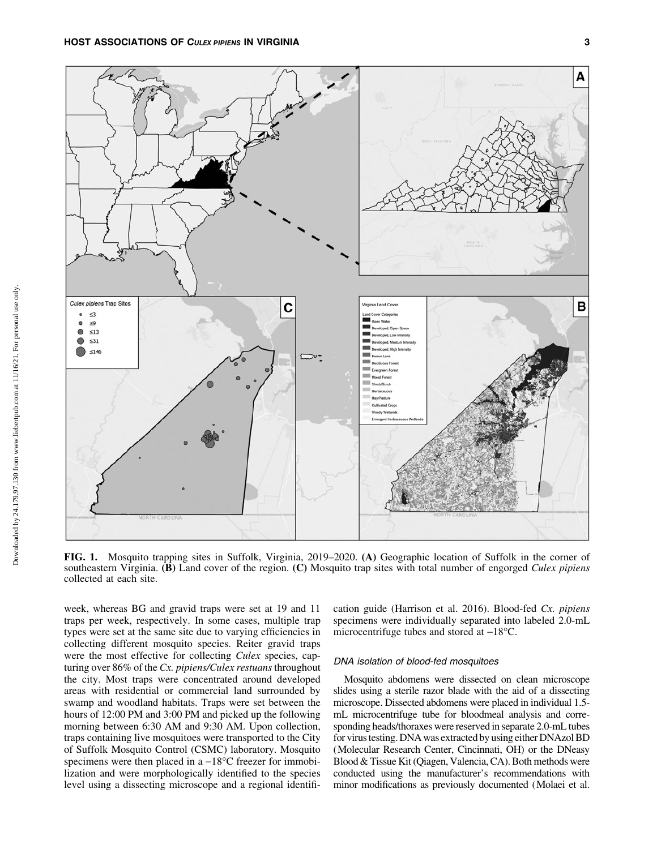A Culex pipiens Trap Sites **Arginia Land Cover** B С  $\leq$ 3  $\bullet$  $\leq 9$  $\bullet$  $\leq 13$ ed. Low In  $\bullet$  $\leq$ 31  $\leq 146$  $\sum$ **COLOR**  $=$   $\sim$ m **Mixed Fores** Sheddlesd **HaviPas** Woody Wetland

FIG. 1. Mosquito trapping sites in Suffolk, Virginia, 2019–2020. (A) Geographic location of Suffolk in the corner of southeastern Virginia. (B) Land cover of the region. (C) Mosquito trap sites with total number of engorged *Culex pipiens* collected at each site.

week, whereas BG and gravid traps were set at 19 and 11 traps per week, respectively. In some cases, multiple trap types were set at the same site due to varying efficiencies in collecting different mosquito species. Reiter gravid traps were the most effective for collecting *Culex* species, capturing over 86% of the *Cx. pipiens/Culex restuans* throughout the city. Most traps were concentrated around developed areas with residential or commercial land surrounded by swamp and woodland habitats. Traps were set between the hours of 12:00 PM and 3:00 PM and picked up the following morning between 6:30 AM and 9:30 AM. Upon collection, traps containing live mosquitoes were transported to the City of Suffolk Mosquito Control (CSMC) laboratory. Mosquito specimens were then placed in a  $-18^{\circ}$ C freezer for immobilization and were morphologically identified to the species level using a dissecting microscope and a regional identification guide (Harrison et al. 2016). Blood-fed *Cx. pipiens* specimens were individually separated into labeled 2.0-mL microcentrifuge tubes and stored at  $-18^{\circ}$ C.

#### DNA isolation of blood-fed mosquitoes

Mosquito abdomens were dissected on clean microscope slides using a sterile razor blade with the aid of a dissecting microscope. Dissected abdomens were placed in individual 1.5 mL microcentrifuge tube for bloodmeal analysis and corresponding heads/thoraxes were reserved in separate 2.0-mL tubes for virus testing. DNA was extracted by using either DNAzol BD (Molecular Research Center, Cincinnati, OH) or the DNeasy Blood & Tissue Kit (Qiagen, Valencia, CA). Both methods were conducted using the manufacturer's recommendations with minor modifications as previously documented (Molaei et al.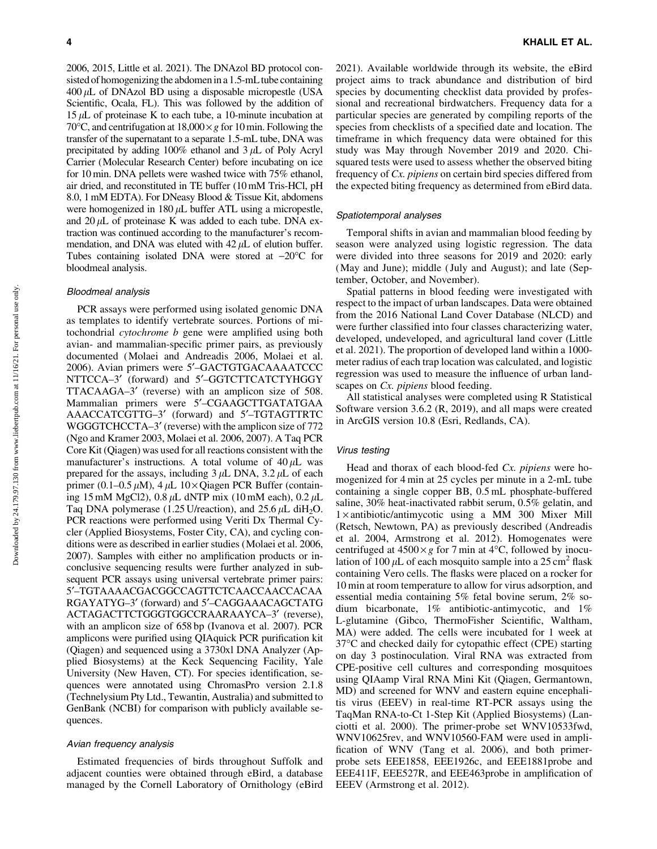2006, 2015, Little et al. 2021). The DNAzol BD protocol consisted of homogenizing the abdomen in a 1.5-mL tube containing  $400 \mu L$  of DNAzol BD using a disposable micropestle (USA Scientific, Ocala, FL). This was followed by the addition of  $15 \mu L$  of proteinase K to each tube, a 10-minute incubation at 70 $\degree$ C, and centrifugation at 18,000 $\times g$  for 10 min. Following the transfer of the supernatant to a separate 1.5-mL tube, DNA was precipitated by adding  $100\%$  ethanol and  $3 \mu$ L of Poly Acryl Carrier (Molecular Research Center) before incubating on ice for 10 min. DNA pellets were washed twice with 75% ethanol, air dried, and reconstituted in TE buffer (10 mM Tris-HCl, pH 8.0, 1 mM EDTA). For DNeasy Blood & Tissue Kit, abdomens were homogenized in  $180 \mu L$  buffer ATL using a micropestle, and  $20 \mu L$  of proteinase K was added to each tube. DNA extraction was continued according to the manufacturer's recommendation, and DNA was eluted with  $42 \mu L$  of elution buffer. Tubes containing isolated DNA were stored at  $-20^{\circ}$ C for bloodmeal analysis.

## Bloodmeal analysis

PCR assays were performed using isolated genomic DNA as templates to identify vertebrate sources. Portions of mitochondrial *cytochrome b* gene were amplified using both avian- and mammalian-specific primer pairs, as previously documented (Molaei and Andreadis 2006, Molaei et al. 2006). Avian primers were 5¢–GACTGTGACAAAATCCC NTTCCA-3' (forward) and 5'-GGTCTTCATCTYHGGY TTACAAGA-3' (reverse) with an amplicon size of 508. Mammalian primers were 5¢–CGAAGCTTGATATGAA AAACCATCGTTG-3' (forward) and 5'-TGTAGTTRTC WGGGTCHCCTA–3' (reverse) with the amplicon size of 772 (Ngo and Kramer 2003, Molaei et al. 2006, 2007). A Taq PCR Core Kit (Qiagen) was used for all reactions consistent with the manufacturer's instructions. A total volume of  $40 \mu L$  was prepared for the assays, including  $3 \mu L$  DNA,  $3.2 \mu L$  of each primer (0.1–0.5  $\mu$ M), 4  $\mu$ L 10 × Qiagen PCR Buffer (containing 15 mM MgCl2),  $0.8 \mu L$  dNTP mix (10 mM each),  $0.2 \mu L$ Taq DNA polymerase (1.25 U/reaction), and  $25.6 \mu L$  diH<sub>2</sub>O. PCR reactions were performed using Veriti Dx Thermal Cycler (Applied Biosystems, Foster City, CA), and cycling conditions were as described in earlier studies (Molaei et al. 2006, 2007). Samples with either no amplification products or inconclusive sequencing results were further analyzed in subsequent PCR assays using universal vertebrate primer pairs: 5¢–TGTAAAACGACGGCCAGTTCTCAACCAACCACAA RGAYATYG-3' (forward) and 5'-CAGGAAACAGCTATG ACTAGACTTCTGGGTGGCCRAARAAYCA-3' (reverse), with an amplicon size of 658 bp (Ivanova et al. 2007). PCR amplicons were purified using QIAquick PCR purification kit (Qiagen) and sequenced using a 3730xl DNA Analyzer (Applied Biosystems) at the Keck Sequencing Facility, Yale University (New Haven, CT). For species identification, sequences were annotated using ChromasPro version 2.1.8 (Technelysium Pty Ltd., Tewantin, Australia) and submitted to GenBank (NCBI) for comparison with publicly available sequences.

# Avian frequency analysis

Estimated frequencies of birds throughout Suffolk and adjacent counties were obtained through eBird, a database managed by the Cornell Laboratory of Ornithology (eBird 2021). Available worldwide through its website, the eBird project aims to track abundance and distribution of bird species by documenting checklist data provided by professional and recreational birdwatchers. Frequency data for a particular species are generated by compiling reports of the species from checklists of a specified date and location. The timeframe in which frequency data were obtained for this study was May through November 2019 and 2020. Chisquared tests were used to assess whether the observed biting frequency of *Cx. pipiens* on certain bird species differed from the expected biting frequency as determined from eBird data.

## Spatiotemporal analyses

Temporal shifts in avian and mammalian blood feeding by season were analyzed using logistic regression. The data were divided into three seasons for 2019 and 2020: early (May and June); middle (July and August); and late (September, October, and November).

Spatial patterns in blood feeding were investigated with respect to the impact of urban landscapes. Data were obtained from the 2016 National Land Cover Database (NLCD) and were further classified into four classes characterizing water, developed, undeveloped, and agricultural land cover (Little et al. 2021). The proportion of developed land within a 1000 meter radius of each trap location was calculated, and logistic regression was used to measure the influence of urban landscapes on *Cx. pipiens* blood feeding.

All statistical analyses were completed using R Statistical Software version 3.6.2 (R, 2019), and all maps were created in ArcGIS version 10.8 (Esri, Redlands, CA).

## Virus testing

Head and thorax of each blood-fed *Cx. pipiens* were homogenized for 4 min at 25 cycles per minute in a 2-mL tube containing a single copper BB, 0.5 mL phosphate-buffered saline, 30% heat-inactivated rabbit serum, 0.5% gelatin, and  $1 \times$  antibiotic/antimycotic using a MM 300 Mixer Mill (Retsch, Newtown, PA) as previously described (Andreadis et al. 2004, Armstrong et al. 2012). Homogenates were centrifuged at  $4500 \times g$  for 7 min at  $4^{\circ}$ C, followed by inoculation of 100  $\mu$ L of each mosquito sample into a 25 cm<sup>2</sup> flask containing Vero cells. The flasks were placed on a rocker for 10 min at room temperature to allow for virus adsorption, and essential media containing 5% fetal bovine serum, 2% sodium bicarbonate, 1% antibiotic-antimycotic, and 1% L-glutamine (Gibco, ThermoFisher Scientific, Waltham, MA) were added. The cells were incubated for 1 week at 37°C and checked daily for cytopathic effect (CPE) starting on day 3 postinoculation. Viral RNA was extracted from CPE-positive cell cultures and corresponding mosquitoes using QIAamp Viral RNA Mini Kit (Qiagen, Germantown, MD) and screened for WNV and eastern equine encephalitis virus (EEEV) in real-time RT-PCR assays using the TaqMan RNA-to-Ct 1-Step Kit (Applied Biosystems) (Lanciotti et al. 2000). The primer-probe set WNV10533fwd, WNV10625rev, and WNV10560-FAM were used in amplification of WNV (Tang et al. 2006), and both primerprobe sets EEE1858, EEE1926c, and EEE1881probe and EEE411F, EEE527R, and EEE463probe in amplification of EEEV (Armstrong et al. 2012).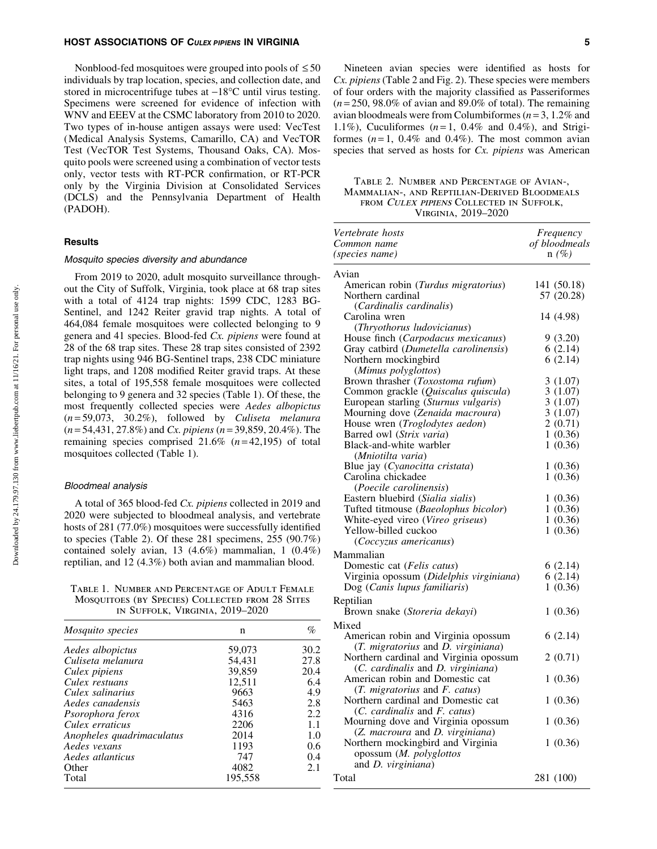#### HOST ASSOCIATIONS OF CULEX PIPIENS IN VIRGINIA **FOR A SECULATION** 5

Nonblood-fed mosquitoes were grouped into pools of  $\leq 50$ individuals by trap location, species, and collection date, and stored in microcentrifuge tubes at  $-18^{\circ}$ C until virus testing. Specimens were screened for evidence of infection with WNV and EEEV at the CSMC laboratory from 2010 to 2020. Two types of in-house antigen assays were used: VecTest (Medical Analysis Systems, Camarillo, CA) and VecTOR Test (VecTOR Test Systems, Thousand Oaks, CA). Mosquito pools were screened using a combination of vector tests only, vector tests with RT-PCR confirmation, or RT-PCR only by the Virginia Division at Consolidated Services (DCLS) and the Pennsylvania Department of Health (PADOH).

# **Results**

#### Mosquito species diversity and abundance

From 2019 to 2020, adult mosquito surveillance throughout the City of Suffolk, Virginia, took place at 68 trap sites with a total of 4124 trap nights: 1599 CDC, 1283 BG-Sentinel, and 1242 Reiter gravid trap nights. A total of 464,084 female mosquitoes were collected belonging to 9 genera and 41 species. Blood-fed *Cx. pipiens* were found at 28 of the 68 trap sites. These 28 trap sites consisted of 2392 trap nights using 946 BG-Sentinel traps, 238 CDC miniature light traps, and 1208 modified Reiter gravid traps. At these sites, a total of 195,558 female mosquitoes were collected belonging to 9 genera and 32 species (Table 1). Of these, the most frequently collected species were *Aedes albopictus* (*n* = 59,073, 30.2%), followed by *Culiseta melanura* (*n* = 54,431, 27.8%) and *Cx. pipiens* (*n* = 39,859, 20.4%). The remaining species comprised 21.6% (*n* = 42,195) of total mosquitoes collected (Table 1).

#### Bloodmeal analysis

A total of 365 blood-fed *Cx. pipiens* collected in 2019 and 2020 were subjected to bloodmeal analysis, and vertebrate hosts of 281 (77.0%) mosquitoes were successfully identified to species (Table 2). Of these 281 specimens, 255  $(90.7%)$ contained solely avian, 13 (4.6%) mammalian, 1 (0.4%) reptilian, and 12 (4.3%) both avian and mammalian blood.

Table 1. Number and Percentage of Adult Female Mosquitoes (by Species) Collected from 28 Sites in Suffolk, Virginia, 2019–2020

| <i>Mosquito species</i>   | n       | %    |
|---------------------------|---------|------|
| Aedes albopictus          | 59,073  | 30.2 |
| Culiseta melanura         | 54.431  | 27.8 |
| Culex pipiens             | 39,859  | 20.4 |
| Culex restuans            | 12.511  | 6.4  |
| Culex salinarius          | 9663    | 4.9  |
| Aedes canadensis          | 5463    | 2.8  |
| Psorophora ferox          | 4316    | 2.2  |
| Culex erraticus           | 2206    | 1.1  |
| Anopheles quadrimaculatus | 2014    | 1.0  |
| Aedes vexans              | 1193    | 0.6  |
| Aedes atlanticus          | 747     | 0.4  |
| Other                     | 4082    | 2.1  |
| Total                     | 195,558 |      |

Nineteen avian species were identified as hosts for *Cx. pipiens* (Table 2 and Fig. 2). These species were members of four orders with the majority classified as Passeriformes  $(n=250, 98.0\%$  of avian and 89.0% of total). The remaining avian bloodmeals were from Columbiformes (*n* = 3, 1.2% and 1.1%), Cuculiformes  $(n=1, 0.4\%$  and 0.4%), and Strigiformes  $(n=1, 0.4\%$  and  $(0.4\%)$ . The most common avian species that served as hosts for *Cx. pipiens* was American

Table 2. Number and Percentage of Avian-, Mammalian-, and Reptilian-Derived Bloodmeals from Culex pipiens Collected in Suffolk, Virginia, 2019–2020

| Vertebrate hosts                                                            | Frequency     |
|-----------------------------------------------------------------------------|---------------|
| Common name                                                                 | of bloodmeals |
| (species name)                                                              | $n(\%)$       |
| Avian                                                                       |               |
| American robin (Turdus migratorius)                                         | 141 (50.18)   |
| Northern cardinal                                                           | 57 (20.28)    |
| (Cardinalis cardinalis)                                                     |               |
| Carolina wren                                                               | 14 (4.98)     |
| (Thryothorus ludovicianus)                                                  |               |
| House finch (Carpodacus mexicanus)                                          | 9(3.20)       |
| Gray catbird (Dumetella carolinensis)                                       | 6(2.14)       |
| Northern mockingbird                                                        | 6(2.14)       |
| (Mimus polyglottos)                                                         |               |
| Brown thrasher (Toxostoma rufum)                                            | 3(1.07)       |
| Common grackle (Quiscalus quiscula)                                         | 3(1.07)       |
| European starling (Sturnus vulgaris)                                        | 3(1.07)       |
| Mourning dove (Zenaida macroura)                                            | 3(1.07)       |
| House wren (Troglodytes aedon)                                              | 2(0.71)       |
| Barred owl (Strix varia)                                                    | 1(0.36)       |
| Black-and-white warbler                                                     | 1(0.36)       |
| (Mniotilta varia)                                                           |               |
| Blue jay (Cyanocitta cristata)                                              | 1(0.36)       |
| Carolina chickadee                                                          | 1(0.36)       |
| (Poecile carolinensis)                                                      |               |
| Eastern bluebird (Sialia sialis)                                            | 1(0.36)       |
| Tufted titmouse (Baeolophus bicolor)                                        | 1(0.36)       |
| White-eyed vireo (Vireo griseus)                                            | 1(0.36)       |
| Yellow-billed cuckoo                                                        | 1(0.36)       |
| (Coccyzus americanus)                                                       |               |
| Mammalian                                                                   |               |
| Domestic cat (Felis catus)                                                  | 6 (2.14)      |
| Virginia opossum (Didelphis virginiana)                                     | 6(2.14)       |
| Dog (Canis lupus familiaris)                                                | 1(0.36)       |
| Reptilian                                                                   |               |
| Brown snake (Storeria dekayi)                                               | 1(0.36)       |
| Mixed                                                                       |               |
|                                                                             | 6(2.14)       |
| American robin and Virginia opossum                                         |               |
| (T. migratorius and D. virginiana)                                          |               |
| Northern cardinal and Virginia opossum<br>(C. cardinalis and D. virginiana) | 2 (0.71)      |
| American robin and Domestic cat                                             | 1(0.36)       |
| (T. migratorius and F. catus)                                               |               |
| Northern cardinal and Domestic cat                                          |               |
| (C. cardinalis and F. catus)                                                | 1(0.36)       |
| Mourning dove and Virginia opossum                                          | 1(0.36)       |
| (Z. macroura and D. virginiana)                                             |               |
| Northern mockingbird and Virginia                                           | 1(0.36)       |
| opossum (M. polyglottos                                                     |               |
| and D. virginiana)                                                          |               |
|                                                                             |               |
| Total                                                                       | 281 (100)     |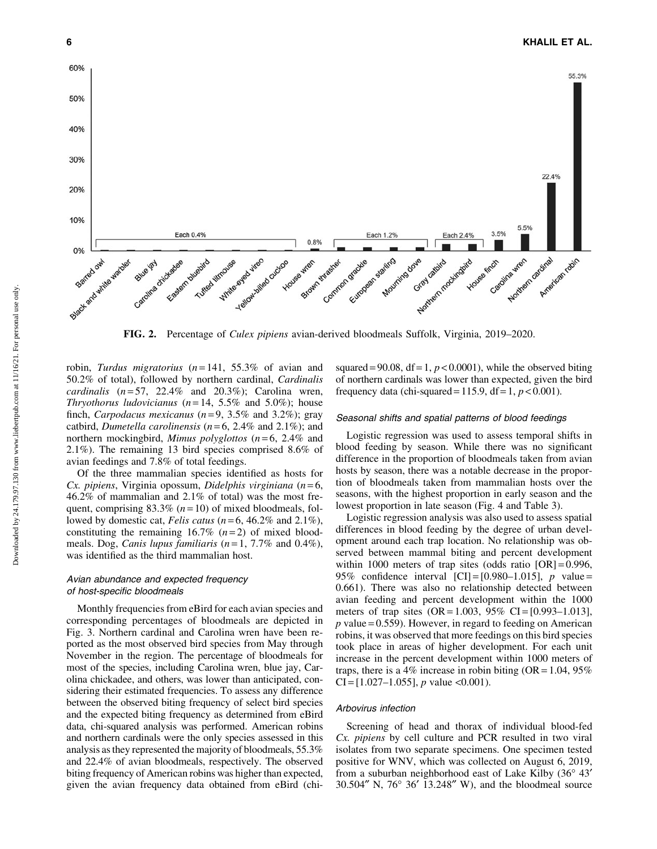

FIG. 2. Percentage of *Culex pipiens* avian-derived bloodmeals Suffolk, Virginia, 2019–2020.

robin, *Turdus migratorius* (*n* = 141, 55.3% of avian and 50.2% of total), followed by northern cardinal, *Cardinalis cardinalis* (*n* = 57, 22.4% and 20.3%); Carolina wren, *Thryothorus ludovicianus* ( $n = 14$ , 5.5% and 5.0%); house finch, *Carpodacus mexicanus* (*n* = 9, 3.5% and 3.2%); gray catbird, *Dumetella carolinensis* (*n* = 6, 2.4% and 2.1%); and northern mockingbird, *Mimus polyglottos* (*n* = 6, 2.4% and 2.1%). The remaining 13 bird species comprised 8.6% of avian feedings and 7.8% of total feedings.

Of the three mammalian species identified as hosts for *Cx. pipiens*, Virginia opossum, *Didelphis virginiana* (*n* = 6, 46.2% of mammalian and 2.1% of total) was the most frequent, comprising  $83.3\%$  ( $n = 10$ ) of mixed bloodmeals, followed by domestic cat, *Felis catus* ( $n = 6$ , 46.2% and 2.1%), constituting the remaining  $16.7\%$   $(n=2)$  of mixed bloodmeals. Dog, *Canis lupus familiaris* (*n* = 1, 7.7% and 0.4%), was identified as the third mammalian host.

## Avian abundance and expected frequency of host-specific bloodmeals

Monthly frequencies from eBird for each avian species and corresponding percentages of bloodmeals are depicted in Fig. 3. Northern cardinal and Carolina wren have been reported as the most observed bird species from May through November in the region. The percentage of bloodmeals for most of the species, including Carolina wren, blue jay, Carolina chickadee, and others, was lower than anticipated, considering their estimated frequencies. To assess any difference between the observed biting frequency of select bird species and the expected biting frequency as determined from eBird data, chi-squared analysis was performed. American robins and northern cardinals were the only species assessed in this analysis as they represented the majority of bloodmeals, 55.3% and 22.4% of avian bloodmeals, respectively. The observed biting frequency of American robins was higher than expected, given the avian frequency data obtained from eBird (chisquared = 90.08,  $df = 1$ ,  $p < 0.0001$ ), while the observed biting of northern cardinals was lower than expected, given the bird frequency data (chi-squared =  $115.9$ , df = 1,  $p < 0.001$ ).

#### Seasonal shifts and spatial patterns of blood feedings

Logistic regression was used to assess temporal shifts in blood feeding by season. While there was no significant difference in the proportion of bloodmeals taken from avian hosts by season, there was a notable decrease in the proportion of bloodmeals taken from mammalian hosts over the seasons, with the highest proportion in early season and the lowest proportion in late season (Fig. 4 and Table 3).

Logistic regression analysis was also used to assess spatial differences in blood feeding by the degree of urban development around each trap location. No relationship was observed between mammal biting and percent development within 1000 meters of trap sites (odds ratio  $[OR] = 0.996$ , 95% confidence interval [CI] = [0.980–1.015], *p* value = 0.661). There was also no relationship detected between avian feeding and percent development within the 1000 meters of trap sites  $(OR = 1.003, 95\% \text{ CI} = [0.993 - 1.013],$  $p$  value = 0.559). However, in regard to feeding on American robins, it was observed that more feedings on this bird species took place in areas of higher development. For each unit increase in the percent development within 1000 meters of traps, there is a 4% increase in robin biting  $(OR = 1.04, 95\%)$  $CI = [1.027 - 1.055], p$  value <0.001).

## Arbovirus infection

Screening of head and thorax of individual blood-fed *Cx. pipiens* by cell culture and PCR resulted in two viral isolates from two separate specimens. One specimen tested positive for WNV, which was collected on August 6, 2019, from a suburban neighborhood east of Lake Kilby (36° 43'  $30.504''$  N,  $76^{\circ}$   $36'$  13.248" W), and the bloodmeal source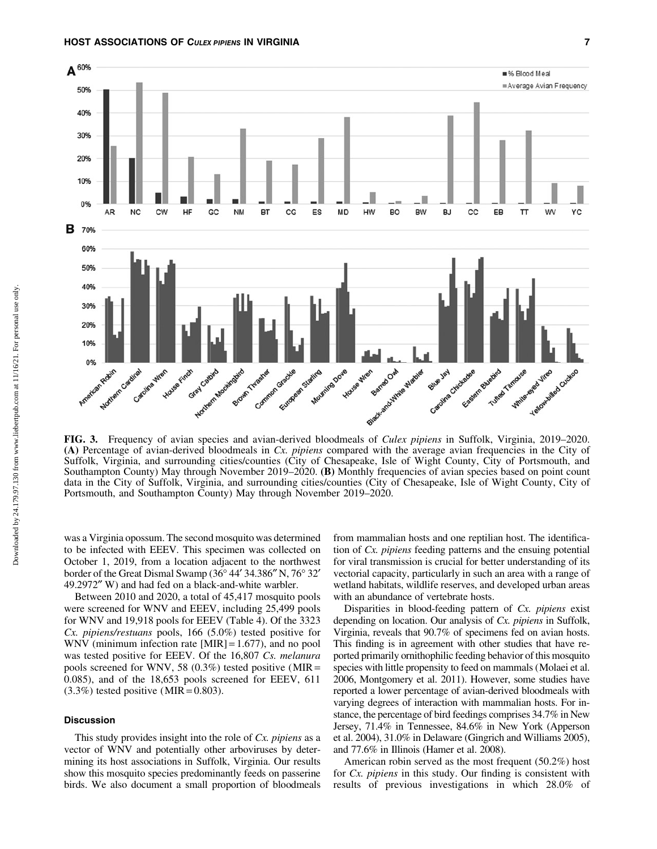#### HOST ASSOCIATIONS OF CULEX PIPIENS IN VIRGINIA 7



FIG. 3. Frequency of avian species and avian-derived bloodmeals of *Culex pipiens* in Suffolk, Virginia, 2019–2020. (A) Percentage of avian-derived bloodmeals in *Cx. pipiens* compared with the average avian frequencies in the City of Suffolk, Virginia, and surrounding cities/counties (City of Chesapeake, Isle of Wight County, City of Portsmouth, and Southampton County) May through November 2019–2020. (B) Monthly frequencies of avian species based on point count data in the City of Suffolk, Virginia, and surrounding cities/counties (City of Chesapeake, Isle of Wight County, City of Portsmouth, and Southampton County) May through November 2019–2020.

was a Virginia opossum. The second mosquito was determined to be infected with EEEV. This specimen was collected on October 1, 2019, from a location adjacent to the northwest border of the Great Dismal Swamp (36° 44' 34.386" N, 76° 32' 49.2972" W) and had fed on a black-and-white warbler.

Between 2010 and 2020, a total of 45,417 mosquito pools were screened for WNV and EEEV, including 25,499 pools for WNV and 19,918 pools for EEEV (Table 4). Of the 3323 *Cx. pipiens/restuans* pools, 166 (5.0%) tested positive for WNV (minimum infection rate [MIR] = 1.677), and no pool was tested positive for EEEV. Of the 16,807 *Cs. melanura* pools screened for WNV, 58  $(0.3\%)$  tested positive (MIR = 0.085), and of the 18,653 pools screened for EEEV, 611  $(3.3\%)$  tested positive (MIR = 0.803).

## Discussion

This study provides insight into the role of *Cx. pipiens* as a vector of WNV and potentially other arboviruses by determining its host associations in Suffolk, Virginia. Our results show this mosquito species predominantly feeds on passerine birds. We also document a small proportion of bloodmeals from mammalian hosts and one reptilian host. The identification of *Cx. pipiens* feeding patterns and the ensuing potential for viral transmission is crucial for better understanding of its vectorial capacity, particularly in such an area with a range of wetland habitats, wildlife reserves, and developed urban areas with an abundance of vertebrate hosts.

Disparities in blood-feeding pattern of *Cx. pipiens* exist depending on location. Our analysis of *Cx. pipiens* in Suffolk, Virginia, reveals that 90.7% of specimens fed on avian hosts. This finding is in agreement with other studies that have reported primarily ornithophilic feeding behavior of this mosquito species with little propensity to feed on mammals (Molaei et al. 2006, Montgomery et al. 2011). However, some studies have reported a lower percentage of avian-derived bloodmeals with varying degrees of interaction with mammalian hosts. For instance, the percentage of bird feedings comprises 34.7% in New Jersey, 71.4% in Tennessee, 84.6% in New York (Apperson et al. 2004), 31.0% in Delaware (Gingrich and Williams 2005), and 77.6% in Illinois (Hamer et al. 2008).

American robin served as the most frequent (50.2%) host for *Cx. pipiens* in this study. Our finding is consistent with results of previous investigations in which 28.0% of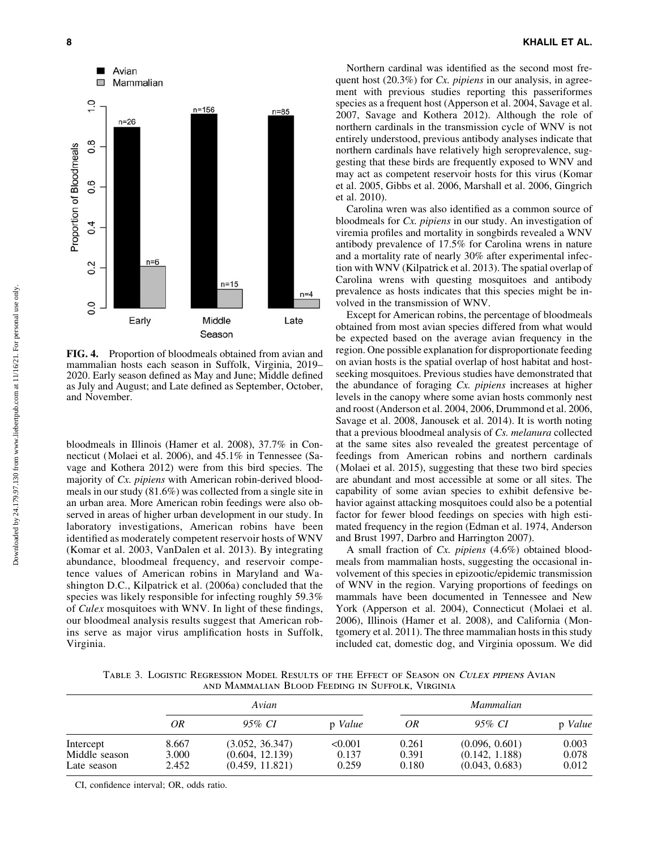

FIG. 4. Proportion of bloodmeals obtained from avian and mammalian hosts each season in Suffolk, Virginia, 2019– 2020. Early season defined as May and June; Middle defined as July and August; and Late defined as September, October, and November.

bloodmeals in Illinois (Hamer et al. 2008), 37.7% in Connecticut (Molaei et al. 2006), and 45.1% in Tennessee (Savage and Kothera 2012) were from this bird species. The majority of *Cx. pipiens* with American robin-derived bloodmeals in our study (81.6%) was collected from a single site in an urban area. More American robin feedings were also observed in areas of higher urban development in our study. In laboratory investigations, American robins have been identified as moderately competent reservoir hosts of WNV (Komar et al. 2003, VanDalen et al. 2013). By integrating abundance, bloodmeal frequency, and reservoir competence values of American robins in Maryland and Washington D.C., Kilpatrick et al. (2006a) concluded that the species was likely responsible for infecting roughly 59.3% of *Culex* mosquitoes with WNV. In light of these findings, our bloodmeal analysis results suggest that American robins serve as major virus amplification hosts in Suffolk, Virginia.

Northern cardinal was identified as the second most frequent host (20.3%) for *Cx. pipiens* in our analysis, in agreement with previous studies reporting this passeriformes species as a frequent host (Apperson et al. 2004, Savage et al. 2007, Savage and Kothera 2012). Although the role of northern cardinals in the transmission cycle of WNV is not entirely understood, previous antibody analyses indicate that northern cardinals have relatively high seroprevalence, suggesting that these birds are frequently exposed to WNV and may act as competent reservoir hosts for this virus (Komar et al. 2005, Gibbs et al. 2006, Marshall et al. 2006, Gingrich et al. 2010).

Carolina wren was also identified as a common source of bloodmeals for *Cx. pipiens* in our study. An investigation of viremia profiles and mortality in songbirds revealed a WNV antibody prevalence of 17.5% for Carolina wrens in nature and a mortality rate of nearly 30% after experimental infection with WNV (Kilpatrick et al. 2013). The spatial overlap of Carolina wrens with questing mosquitoes and antibody prevalence as hosts indicates that this species might be involved in the transmission of WNV.

Except for American robins, the percentage of bloodmeals obtained from most avian species differed from what would be expected based on the average avian frequency in the region. One possible explanation for disproportionate feeding on avian hosts is the spatial overlap of host habitat and hostseeking mosquitoes. Previous studies have demonstrated that the abundance of foraging *Cx. pipiens* increases at higher levels in the canopy where some avian hosts commonly nest and roost (Anderson et al. 2004, 2006, Drummond et al. 2006, Savage et al. 2008, Janousek et al. 2014). It is worth noting that a previous bloodmeal analysis of *Cs. melanura* collected at the same sites also revealed the greatest percentage of feedings from American robins and northern cardinals (Molaei et al. 2015), suggesting that these two bird species are abundant and most accessible at some or all sites. The capability of some avian species to exhibit defensive behavior against attacking mosquitoes could also be a potential factor for fewer blood feedings on species with high estimated frequency in the region (Edman et al. 1974, Anderson and Brust 1997, Darbro and Harrington 2007).

A small fraction of *Cx. pipiens* (4.6%) obtained bloodmeals from mammalian hosts, suggesting the occasional involvement of this species in epizootic/epidemic transmission of WNV in the region. Varying proportions of feedings on mammals have been documented in Tennessee and New York (Apperson et al. 2004), Connecticut (Molaei et al. 2006), Illinois (Hamer et al. 2008), and California (Montgomery et al. 2011). The three mammalian hosts in this study included cat, domestic dog, and Virginia opossum. We did

TABLE 3. LOGISTIC REGRESSION MODEL RESULTS OF THE EFFECT OF SEASON ON CULEX PIPIENS AVIAN and Mammalian Blood Feeding in Suffolk, Virginia

|                                           | Avian                   |                                                       | Mammalian                 |                         |                                                    |                         |
|-------------------------------------------|-------------------------|-------------------------------------------------------|---------------------------|-------------------------|----------------------------------------------------|-------------------------|
|                                           | OR.                     | 95% CI                                                | p Value                   | OR                      | 95% CI                                             | p Value                 |
| Intercept<br>Middle season<br>Late season | 8.667<br>3.000<br>2.452 | (3.052, 36.347)<br>(0.604, 12.139)<br>(0.459, 11.821) | < 0.001<br>0.137<br>0.259 | 0.261<br>0.391<br>0.180 | (0.096, 0.601)<br>(0.142, 1.188)<br>(0.043, 0.683) | 0.003<br>0.078<br>0.012 |

CI, confidence interval; OR, odds ratio.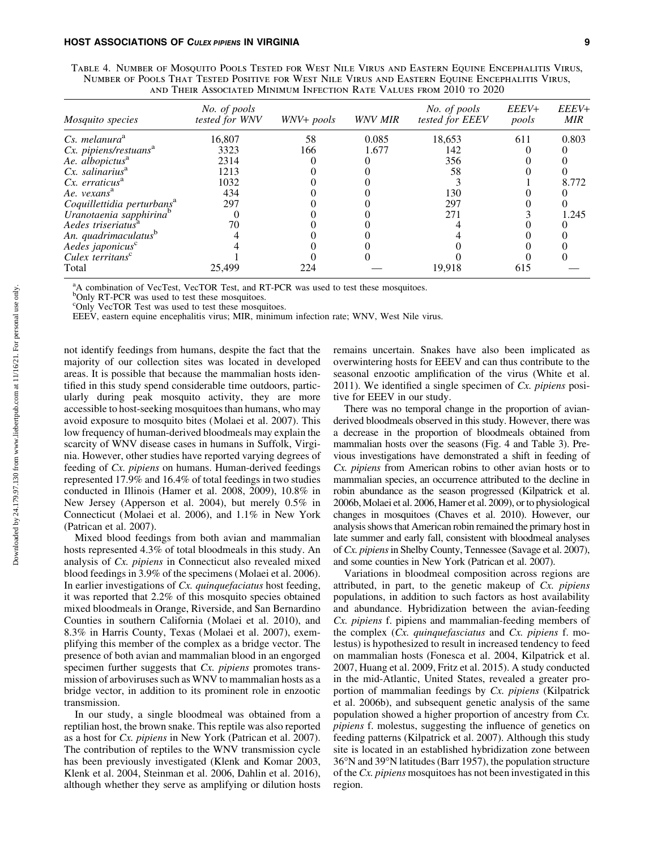| TABLE 4. NUMBER OF MOSOUITO POOLS TESTED FOR WEST NILE VIRUS AND EASTERN EOUINE ENCEPHALITIS VIRUS. |  |
|-----------------------------------------------------------------------------------------------------|--|
| NUMBER OF POOLS THAT TESTED POSITIVE FOR WEST NILE VIRUS AND EASTERN EQUINE ENCEPHALITIS VIRUS,     |  |
| AND THEIR ASSOCIATED MINIMUM INFECTION RATE VALUES FROM 2010 TO 2020                                |  |

| <i>Mosquito species</i>                | No. of pools<br>tested for WNV | WNV+ pools | WNV MIR | No. of pools<br>tested for EEEV | EEEV+<br>pools | EEEV+<br><b>MIR</b> |
|----------------------------------------|--------------------------------|------------|---------|---------------------------------|----------------|---------------------|
| Cs. melanura <sup>a</sup>              | 16,807                         | 58         | 0.085   | 18,653                          | 611            | 0.803               |
| $Cx.$ pipiens/restuans $^{a}$          | 3323                           | 166        | 1.677   | 142                             |                |                     |
| Ae. albopictus <sup>a</sup>            | 2314                           |            |         | 356                             |                |                     |
| $Cx.$ salinarius <sup>a</sup>          | 1213                           |            |         | 58                              |                |                     |
| $Cx.$ erraticus <sup>a</sup>           | 1032                           |            |         |                                 |                | 8.772               |
| Ae. vexans <sup>a</sup>                | 434                            |            |         | 130                             |                |                     |
| Coquillettidia perturbans <sup>a</sup> | 297                            |            |         | 297                             |                |                     |
| Uranotaenia sapphirina <sup>b</sup>    |                                |            |         | 271                             |                | 1.245               |
| Aedes triseriatus <sup>a</sup>         | 70                             |            |         |                                 |                |                     |
| An. quadrimaculatus <sup>b</sup>       |                                |            |         |                                 |                |                     |
| Aedes japonicus <sup>c</sup>           |                                |            |         |                                 |                |                     |
| Culex territans <sup>c</sup>           |                                |            |         |                                 |                |                     |
| Total                                  | 25.499                         | 224        |         | 19,918                          | 615            |                     |

<sup>a</sup>A combination of VecTest, VecTOR Test, and RT-PCR was used to test these mosquitoes.

<sup>b</sup>Only RT-PCR was used to test these mosquitoes.

<sup>c</sup>Only VecTOR Test was used to test these mosquitoes.

EEEV, eastern equine encephalitis virus; MIR, minimum infection rate; WNV, West Nile virus.

not identify feedings from humans, despite the fact that the majority of our collection sites was located in developed areas. It is possible that because the mammalian hosts identified in this study spend considerable time outdoors, particularly during peak mosquito activity, they are more accessible to host-seeking mosquitoes than humans, who may avoid exposure to mosquito bites (Molaei et al. 2007). This low frequency of human-derived bloodmeals may explain the scarcity of WNV disease cases in humans in Suffolk, Virginia. However, other studies have reported varying degrees of feeding of *Cx. pipiens* on humans. Human-derived feedings represented 17.9% and 16.4% of total feedings in two studies conducted in Illinois (Hamer et al. 2008, 2009), 10.8% in New Jersey (Apperson et al. 2004), but merely 0.5% in Connecticut (Molaei et al. 2006), and 1.1% in New York (Patrican et al. 2007).

Mixed blood feedings from both avian and mammalian hosts represented 4.3% of total bloodmeals in this study. An analysis of *Cx. pipiens* in Connecticut also revealed mixed blood feedings in 3.9% of the specimens (Molaei et al. 2006). In earlier investigations of *Cx. quinquefaciatus* host feeding, it was reported that 2.2% of this mosquito species obtained mixed bloodmeals in Orange, Riverside, and San Bernardino Counties in southern California (Molaei et al. 2010), and 8.3% in Harris County, Texas (Molaei et al. 2007), exemplifying this member of the complex as a bridge vector. The presence of both avian and mammalian blood in an engorged specimen further suggests that *Cx. pipiens* promotes transmission of arboviruses such as WNV to mammalian hosts as a bridge vector, in addition to its prominent role in enzootic transmission.

In our study, a single bloodmeal was obtained from a reptilian host, the brown snake. This reptile was also reported as a host for *Cx. pipiens* in New York (Patrican et al. 2007). The contribution of reptiles to the WNV transmission cycle has been previously investigated (Klenk and Komar 2003, Klenk et al. 2004, Steinman et al. 2006, Dahlin et al. 2016), although whether they serve as amplifying or dilution hosts

remains uncertain. Snakes have also been implicated as overwintering hosts for EEEV and can thus contribute to the seasonal enzootic amplification of the virus (White et al. 2011). We identified a single specimen of *Cx. pipiens* positive for EEEV in our study.

There was no temporal change in the proportion of avianderived bloodmeals observed in this study. However, there was a decrease in the proportion of bloodmeals obtained from mammalian hosts over the seasons (Fig. 4 and Table 3). Previous investigations have demonstrated a shift in feeding of *Cx. pipiens* from American robins to other avian hosts or to mammalian species, an occurrence attributed to the decline in robin abundance as the season progressed (Kilpatrick et al. 2006b, Molaei et al. 2006, Hamer et al. 2009), or to physiological changes in mosquitoes (Chaves et al. 2010). However, our analysis shows that American robin remained the primary host in late summer and early fall, consistent with bloodmeal analyses of *Cx. pipiens*in Shelby County, Tennessee (Savage et al. 2007), and some counties in New York (Patrican et al. 2007).

Variations in bloodmeal composition across regions are attributed, in part, to the genetic makeup of *Cx. pipiens* populations, in addition to such factors as host availability and abundance. Hybridization between the avian-feeding *Cx. pipiens* f. pipiens and mammalian-feeding members of the complex (*Cx. quinquefasciatus* and *Cx. pipiens* f. molestus) is hypothesized to result in increased tendency to feed on mammalian hosts (Fonesca et al. 2004, Kilpatrick et al. 2007, Huang et al. 2009, Fritz et al. 2015). A study conducted in the mid-Atlantic, United States, revealed a greater proportion of mammalian feedings by *Cx. pipiens* (Kilpatrick et al. 2006b), and subsequent genetic analysis of the same population showed a higher proportion of ancestry from *Cx. pipiens* f. molestus, suggesting the influence of genetics on feeding patterns (Kilpatrick et al. 2007). Although this study site is located in an established hybridization zone between 36-N and 39-N latitudes (Barr 1957), the population structure of the *Cx. pipiens* mosquitoes has not been investigated in this region.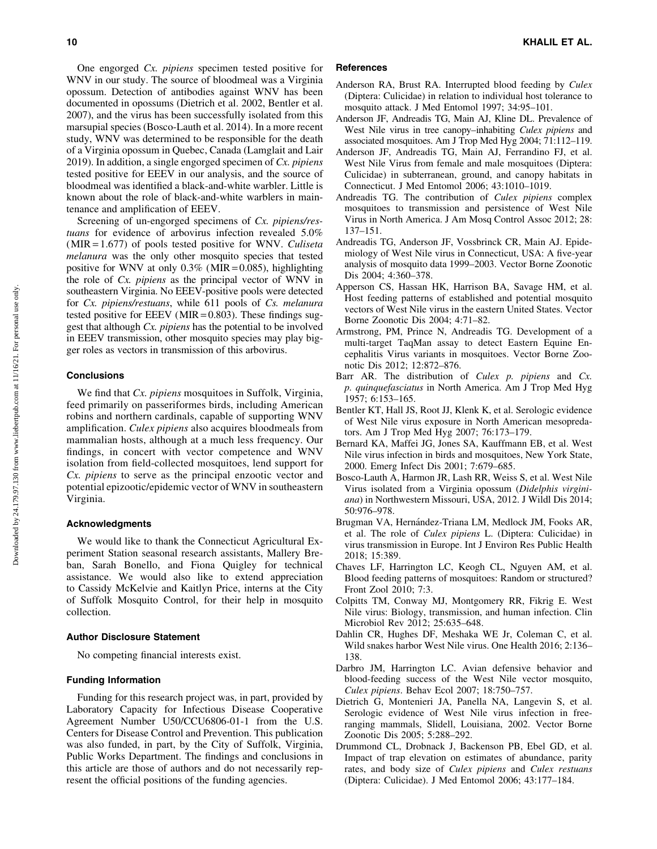One engorged *Cx. pipiens* specimen tested positive for WNV in our study. The source of bloodmeal was a Virginia opossum. Detection of antibodies against WNV has been documented in opossums (Dietrich et al. 2002, Bentler et al. 2007), and the virus has been successfully isolated from this marsupial species (Bosco-Lauth et al. 2014). In a more recent study, WNV was determined to be responsible for the death of a Virginia opossum in Quebec, Canada (Lamglait and Lair 2019). In addition, a single engorged specimen of *Cx. pipiens* tested positive for EEEV in our analysis, and the source of bloodmeal was identified a black-and-white warbler. Little is known about the role of black-and-white warblers in maintenance and amplification of EEEV.

Screening of un-engorged specimens of *Cx. pipiens/restuans* for evidence of arbovirus infection revealed 5.0% (MIR = 1.677) of pools tested positive for WNV. *Culiseta melanura* was the only other mosquito species that tested positive for WNV at only  $0.3\%$  (MIR = 0.085), highlighting the role of *Cx. pipiens* as the principal vector of WNV in southeastern Virginia. No EEEV-positive pools were detected for *Cx. pipiens/restuans*, while 611 pools of *Cs. melanura* tested positive for EEEV ( $MIR = 0.803$ ). These findings suggest that although *Cx. pipiens* has the potential to be involved in EEEV transmission, other mosquito species may play bigger roles as vectors in transmission of this arbovirus.

## **Conclusions**

We find that *Cx. pipiens* mosquitoes in Suffolk, Virginia, feed primarily on passeriformes birds, including American robins and northern cardinals, capable of supporting WNV amplification. *Culex pipiens* also acquires bloodmeals from mammalian hosts, although at a much less frequency. Our findings, in concert with vector competence and WNV isolation from field-collected mosquitoes, lend support for *Cx. pipiens* to serve as the principal enzootic vector and potential epizootic/epidemic vector of WNV in southeastern Virginia.

#### Acknowledgments

We would like to thank the Connecticut Agricultural Experiment Station seasonal research assistants, Mallery Breban, Sarah Bonello, and Fiona Quigley for technical assistance. We would also like to extend appreciation to Cassidy McKelvie and Kaitlyn Price, interns at the City of Suffolk Mosquito Control, for their help in mosquito collection.

### Author Disclosure Statement

No competing financial interests exist.

#### Funding Information

Funding for this research project was, in part, provided by Laboratory Capacity for Infectious Disease Cooperative Agreement Number U50/CCU6806-01-1 from the U.S. Centers for Disease Control and Prevention. This publication was also funded, in part, by the City of Suffolk, Virginia, Public Works Department. The findings and conclusions in this article are those of authors and do not necessarily represent the official positions of the funding agencies.

## **References**

- Anderson RA, Brust RA. Interrupted blood feeding by *Culex* (Diptera: Culicidae) in relation to individual host tolerance to mosquito attack. J Med Entomol 1997; 34:95–101.
- Anderson JF, Andreadis TG, Main AJ, Kline DL. Prevalence of West Nile virus in tree canopy–inhabiting *Culex pipiens* and associated mosquitoes. Am J Trop Med Hyg 2004; 71:112–119.
- Anderson JF, Andreadis TG, Main AJ, Ferrandino FJ, et al. West Nile Virus from female and male mosquitoes (Diptera: Culicidae) in subterranean, ground, and canopy habitats in Connecticut. J Med Entomol 2006; 43:1010–1019.
- Andreadis TG. The contribution of *Culex pipiens* complex mosquitoes to transmission and persistence of West Nile Virus in North America. J Am Mosq Control Assoc 2012; 28: 137–151.
- Andreadis TG, Anderson JF, Vossbrinck CR, Main AJ. Epidemiology of West Nile virus in Connecticut, USA: A five-year analysis of mosquito data 1999–2003. Vector Borne Zoonotic Dis 2004; 4:360–378.
- Apperson CS, Hassan HK, Harrison BA, Savage HM, et al. Host feeding patterns of established and potential mosquito vectors of West Nile virus in the eastern United States. Vector Borne Zoonotic Dis 2004; 4:71–82.
- Armstrong, PM, Prince N, Andreadis TG. Development of a multi-target TaqMan assay to detect Eastern Equine Encephalitis Virus variants in mosquitoes. Vector Borne Zoonotic Dis 2012; 12:872–876.
- Barr AR. The distribution of *Culex p. pipiens* and *Cx. p. quinquefasciatus* in North America. Am J Trop Med Hyg 1957; 6:153–165.
- Bentler KT, Hall JS, Root JJ, Klenk K, et al. Serologic evidence of West Nile virus exposure in North American mesopredators. Am J Trop Med Hyg 2007; 76:173–179.
- Bernard KA, Maffei JG, Jones SA, Kauffmann EB, et al. West Nile virus infection in birds and mosquitoes, New York State, 2000. Emerg Infect Dis 2001; 7:679–685.
- Bosco-Lauth A, Harmon JR, Lash RR, Weiss S, et al. West Nile Virus isolated from a Virginia opossum (*Didelphis virginiana*) in Northwestern Missouri, USA, 2012. J Wildl Dis 2014; 50:976–978.
- Brugman VA, Hernández-Triana LM, Medlock JM, Fooks AR, et al. The role of *Culex pipiens* L. (Diptera: Culicidae) in virus transmission in Europe. Int J Environ Res Public Health 2018; 15:389.
- Chaves LF, Harrington LC, Keogh CL, Nguyen AM, et al. Blood feeding patterns of mosquitoes: Random or structured? Front Zool 2010; 7:3.
- Colpitts TM, Conway MJ, Montgomery RR, Fikrig E. West Nile virus: Biology, transmission, and human infection. Clin Microbiol Rev 2012; 25:635–648.
- Dahlin CR, Hughes DF, Meshaka WE Jr, Coleman C, et al. Wild snakes harbor West Nile virus. One Health 2016; 2:136– 138.
- Darbro JM, Harrington LC. Avian defensive behavior and blood-feeding success of the West Nile vector mosquito, *Culex pipiens*. Behav Ecol 2007; 18:750–757.
- Dietrich G, Montenieri JA, Panella NA, Langevin S, et al. Serologic evidence of West Nile virus infection in freeranging mammals, Slidell, Louisiana, 2002. Vector Borne Zoonotic Dis 2005; 5:288–292.
- Drummond CL, Drobnack J, Backenson PB, Ebel GD, et al. Impact of trap elevation on estimates of abundance, parity rates, and body size of *Culex pipiens* and *Culex restuans* (Diptera: Culicidae). J Med Entomol 2006; 43:177–184.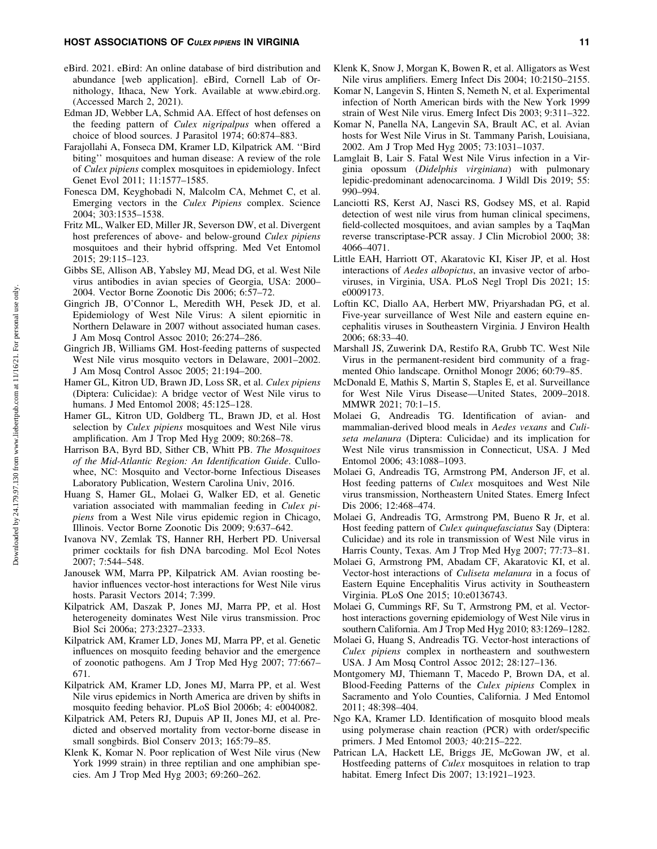#### HOST ASSOCIATIONS OF CULEX PIPIENS IN VIRGINIA 11 11

- eBird. 2021. eBird: An online database of bird distribution and abundance [web application]. eBird, Cornell Lab of Ornithology, Ithaca, New York. Available at [www.ebird.org.](http://www.ebird.org) (Accessed March 2, 2021).
- Edman JD, Webber LA, Schmid AA. Effect of host defenses on the feeding pattern of *Culex nigripalpus* when offered a choice of blood sources. J Parasitol 1974; 60:874–883.
- Farajollahi A, Fonseca DM, Kramer LD, Kilpatrick AM. ''Bird biting'' mosquitoes and human disease: A review of the role of *Culex pipiens* complex mosquitoes in epidemiology. Infect Genet Evol 2011; 11:1577–1585.
- Fonesca DM, Keyghobadi N, Malcolm CA, Mehmet C, et al. Emerging vectors in the *Culex Pipiens* complex. Science 2004; 303:1535–1538.
- Fritz ML, Walker ED, Miller JR, Severson DW, et al. Divergent host preferences of above- and below-ground *Culex pipiens* mosquitoes and their hybrid offspring. Med Vet Entomol 2015; 29:115–123.
- Gibbs SE, Allison AB, Yabsley MJ, Mead DG, et al. West Nile virus antibodies in avian species of Georgia, USA: 2000– 2004. Vector Borne Zoonotic Dis 2006; 6:57–72.
- Gingrich JB, O'Connor L, Meredith WH, Pesek JD, et al. Epidemiology of West Nile Virus: A silent epiornitic in Northern Delaware in 2007 without associated human cases. J Am Mosq Control Assoc 2010; 26:274–286.
- Gingrich JB, Williams GM. Host-feeding patterns of suspected West Nile virus mosquito vectors in Delaware, 2001–2002. J Am Mosq Control Assoc 2005; 21:194–200.
- Hamer GL, Kitron UD, Brawn JD, Loss SR, et al. *Culex pipiens* (Diptera: Culicidae): A bridge vector of West Nile virus to humans. J Med Entomol 2008; 45:125–128.
- Hamer GL, Kitron UD, Goldberg TL, Brawn JD, et al. Host selection by *Culex pipiens* mosquitoes and West Nile virus amplification. Am J Trop Med Hyg 2009; 80:268–78.
- Harrison BA, Byrd BD, Sither CB, Whitt PB. *The Mosquitoes of the Mid-Atlantic Region: An Identification Guide*. Cullowhee, NC: Mosquito and Vector-borne Infectious Diseases Laboratory Publication, Western Carolina Univ, 2016.
- Huang S, Hamer GL, Molaei G, Walker ED, et al. Genetic variation associated with mammalian feeding in *Culex pipiens* from a West Nile virus epidemic region in Chicago, Illinois. Vector Borne Zoonotic Dis 2009; 9:637–642.
- Ivanova NV, Zemlak TS, Hanner RH, Herbert PD. Universal primer cocktails for fish DNA barcoding. Mol Ecol Notes 2007; 7:544–548.
- Janousek WM, Marra PP, Kilpatrick AM. Avian roosting behavior influences vector-host interactions for West Nile virus hosts. Parasit Vectors 2014; 7:399.
- Kilpatrick AM, Daszak P, Jones MJ, Marra PP, et al. Host heterogeneity dominates West Nile virus transmission. Proc Biol Sci 2006a; 273:2327–2333.
- Kilpatrick AM, Kramer LD, Jones MJ, Marra PP, et al. Genetic influences on mosquito feeding behavior and the emergence of zoonotic pathogens. Am J Trop Med Hyg 2007; 77:667– 671.
- Kilpatrick AM, Kramer LD, Jones MJ, Marra PP, et al. West Nile virus epidemics in North America are driven by shifts in mosquito feeding behavior. PLoS Biol 2006b; 4: e0040082.
- Kilpatrick AM, Peters RJ, Dupuis AP II, Jones MJ, et al. Predicted and observed mortality from vector-borne disease in small songbirds. Biol Conserv 2013; 165:79–85.
- Klenk K, Komar N. Poor replication of West Nile virus (New York 1999 strain) in three reptilian and one amphibian species. Am J Trop Med Hyg 2003; 69:260–262.
- Klenk K, Snow J, Morgan K, Bowen R, et al. Alligators as West Nile virus amplifiers. Emerg Infect Dis 2004; 10:2150–2155.
- Komar N, Langevin S, Hinten S, Nemeth N, et al. Experimental infection of North American birds with the New York 1999 strain of West Nile virus. Emerg Infect Dis 2003; 9:311–322.
- Komar N, Panella NA, Langevin SA, Brault AC, et al. Avian hosts for West Nile Virus in St. Tammany Parish, Louisiana, 2002. Am J Trop Med Hyg 2005; 73:1031–1037.
- Lamglait B, Lair S. Fatal West Nile Virus infection in a Virginia opossum (*Didelphis virginiana*) with pulmonary lepidic-predominant adenocarcinoma. J Wildl Dis 2019; 55: 990–994.
- Lanciotti RS, Kerst AJ, Nasci RS, Godsey MS, et al. Rapid detection of west nile virus from human clinical specimens, field-collected mosquitoes, and avian samples by a TaqMan reverse transcriptase-PCR assay. J Clin Microbiol 2000; 38: 4066–4071.
- Little EAH, Harriott OT, Akaratovic KI, Kiser JP, et al. Host interactions of *Aedes albopictus*, an invasive vector of arboviruses, in Virginia, USA. PLoS Negl Tropl Dis 2021; 15: e0009173.
- Loftin KC, Diallo AA, Herbert MW, Priyarshadan PG, et al. Five-year surveillance of West Nile and eastern equine encephalitis viruses in Southeastern Virginia. J Environ Health 2006; 68:33–40.
- Marshall JS, Zuwerink DA, Restifo RA, Grubb TC. West Nile Virus in the permanent-resident bird community of a fragmented Ohio landscape. Ornithol Monogr 2006; 60:79–85.
- McDonald E, Mathis S, Martin S, Staples E, et al. Surveillance for West Nile Virus Disease—United States, 2009–2018. MMWR 2021; 70:1–15.
- Molaei G, Andreadis TG. Identification of avian- and mammalian-derived blood meals in *Aedes vexans* and *Culiseta melanura* (Diptera: Culicidae) and its implication for West Nile virus transmission in Connecticut, USA. J Med Entomol 2006; 43:1088–1093.
- Molaei G, Andreadis TG, Armstrong PM, Anderson JF, et al. Host feeding patterns of *Culex* mosquitoes and West Nile virus transmission, Northeastern United States. Emerg Infect Dis 2006; 12:468–474.
- Molaei G, Andreadis TG, Armstrong PM, Bueno R Jr, et al. Host feeding pattern of *Culex quinquefasciatus* Say (Diptera: Culicidae) and its role in transmission of West Nile virus in Harris County, Texas. Am J Trop Med Hyg 2007; 77:73–81.
- Molaei G, Armstrong PM, Abadam CF, Akaratovic KI, et al. Vector-host interactions of *Culiseta melanura* in a focus of Eastern Equine Encephalitis Virus activity in Southeastern Virginia. PLoS One 2015; 10:e0136743.
- Molaei G, Cummings RF, Su T, Armstrong PM, et al. Vectorhost interactions governing epidemiology of West Nile virus in southern California. Am J Trop Med Hyg 2010; 83:1269–1282.
- Molaei G, Huang S, Andreadis TG. Vector-host interactions of *Culex pipiens* complex in northeastern and southwestern USA. J Am Mosq Control Assoc 2012; 28:127–136.
- Montgomery MJ, Thiemann T, Macedo P, Brown DA, et al. Blood-Feeding Patterns of the *Culex pipiens* Complex in Sacramento and Yolo Counties, California. J Med Entomol 2011; 48:398–404.
- Ngo KA, Kramer LD. Identification of mosquito blood meals using polymerase chain reaction (PCR) with order/specific primers. J Med Entomol 2003*;* 40:215–222.
- Patrican LA, Hackett LE, Briggs JE, McGowan JW, et al. Hostfeeding patterns of *Culex* mosquitoes in relation to trap habitat. Emerg Infect Dis 2007; 13:1921–1923.